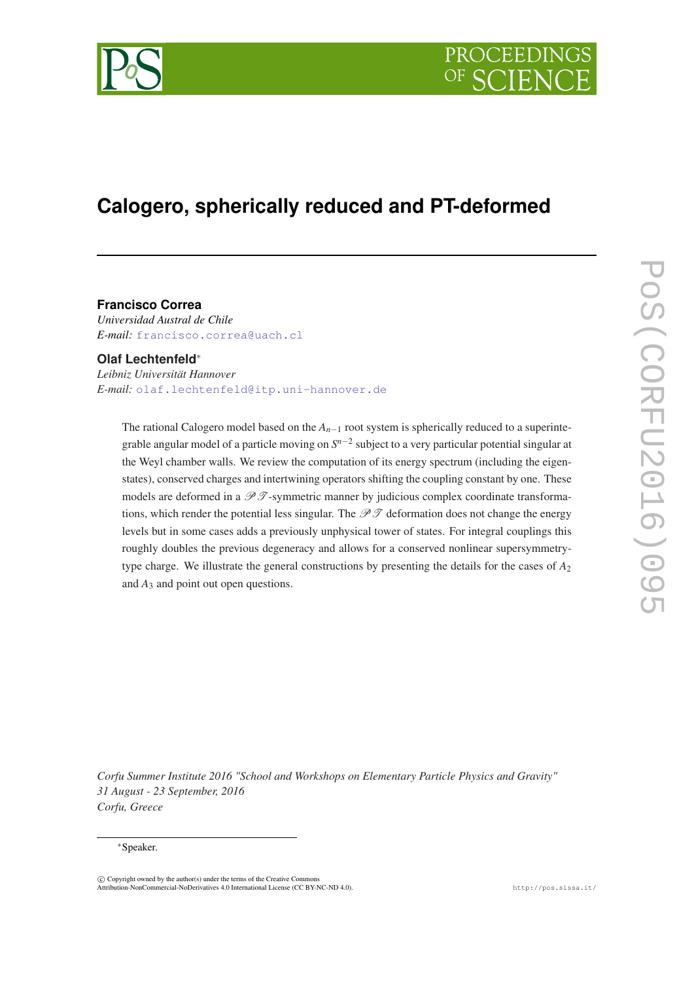

# **Calogero, spherically reduced and PT-deformed**

#### **Francisco Correa**

*Universidad Austral de Chile E-mail:* [francisco.correa@uach.cl](mailto:francisco.correa@uach.cl)

#### **Olaf Lechtenfeld**<sup>∗</sup>

*Leibniz Universität Hannover E-mail:* [olaf.lechtenfeld@itp.uni-hannover.de](mailto:olaf.lechtenfeld@itp.uni-hannover.de)

The rational Calogero model based on the *An*−<sup>1</sup> root system is spherically reduced to a superintegrable angular model of a particle moving on *S n*−2 subject to a very particular potential singular at the Weyl chamber walls. We review the computation of its energy spectrum (including the eigenstates), conserved charges and intertwining operators shifting the coupling constant by one. These models are deformed in a  $\mathscr{P} \mathscr{T}$ -symmetric manner by judicious complex coordinate transformations, which render the potential less singular. The  $\mathcal{P} \mathcal{T}$  deformation does not change the energy levels but in some cases adds a previously unphysical tower of states. For integral couplings this roughly doubles the previous degeneracy and allows for a conserved nonlinear supersymmetrytype charge. We illustrate the general constructions by presenting the details for the cases of *A*<sup>2</sup> and *A*<sup>3</sup> and point out open questions.

*Corfu Summer Institute 2016 "School and Workshops on Elementary Particle Physics and Gravity" 31 August - 23 September, 2016 Corfu, Greece*

#### <sup>∗</sup>Speaker.

 $\overline{c}$  Copyright owned by the author(s) under the terms of the Creative Common Attribution-NonCommercial-NoDerivatives 4.0 International License (CC BY-NC-ND 4.0). http://pos.sissa.it/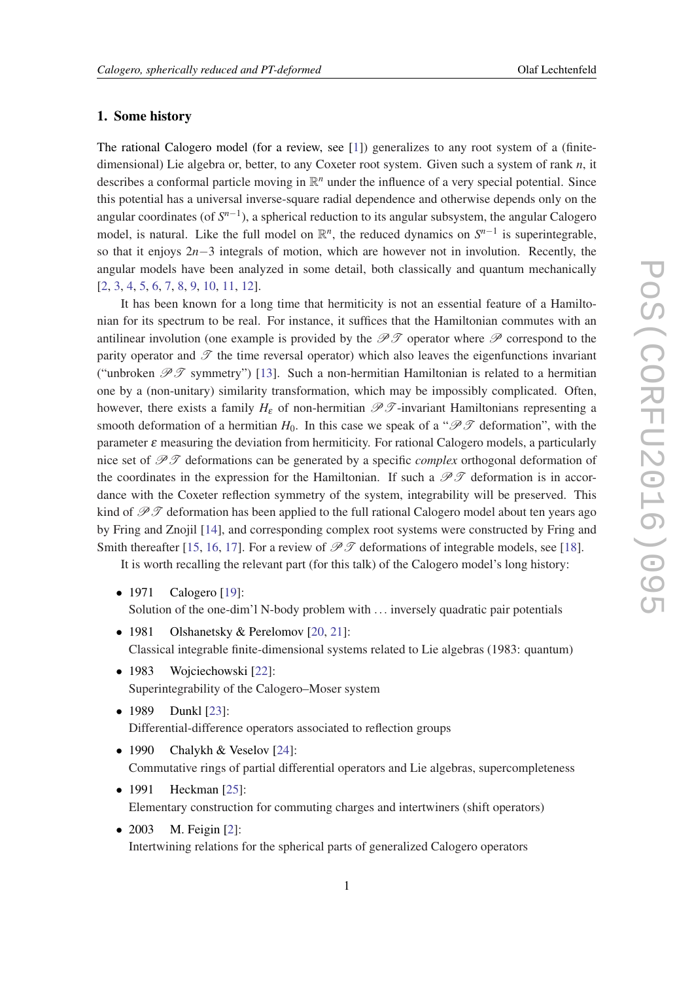#### 1. Some history

The rational Calogero model (for a review, see [[1](#page-14-0)]) generalizes to any root system of a (finitedimensional) Lie algebra or, better, to any Coxeter root system. Given such a system of rank *n*, it describes a conformal particle moving in  $\mathbb{R}^n$  under the influence of a very special potential. Since this potential has a universal inverse-square radial dependence and otherwise depends only on the angular coordinates (of *S n*−1 ), a spherical reduction to its angular subsystem, the angular Calogero model, is natural. Like the full model on  $\mathbb{R}^n$ , the reduced dynamics on  $S^{n-1}$  is superintegrable, so that it enjoys 2*n*−3 integrals of motion, which are however not in involution. Recently, the angular models have been analyzed in some detail, both classically and quantum mechanically [[2](#page-14-0), [3](#page-14-0), [4](#page-14-0), [5](#page-14-0), [6](#page-14-0), [7,](#page-14-0) [8,](#page-14-0) [9,](#page-14-0) [10](#page-14-0), [11,](#page-14-0) [12\]](#page-14-0).

It has been known for a long time that hermiticity is not an essential feature of a Hamiltonian for its spectrum to be real. For instance, it suffices that the Hamiltonian commutes with an antilinear involution (one example is provided by the  $\mathscr{P} \mathscr{T}$  operator where  $\mathscr{P}$  correspond to the parity operator and  $\mathscr T$  the time reversal operator) which also leaves the eigenfunctions invariant ("unbroken  $\mathscr{P} \mathscr{T}$  symmetry") [\[13](#page-14-0)]. Such a non-hermitian Hamiltonian is related to a hermitian one by a (non-unitary) similarity transformation, which may be impossibly complicated. Often, however, there exists a family  $H_{\varepsilon}$  of non-hermitian  $\mathscr{P}\mathscr{T}$ -invariant Hamiltonians representing a smooth deformation of a hermitian  $H_0$ . In this case we speak of a " $\mathscr{P} \mathscr{T}$  deformation", with the parameter  $\varepsilon$  measuring the deviation from hermiticity. For rational Calogero models, a particularly nice set of PT deformations can be generated by a specific *complex* orthogonal deformation of the coordinates in the expression for the Hamiltonian. If such a  $\mathscr{P}\mathscr{T}$  deformation is in accordance with the Coxeter reflection symmetry of the system, integrability will be preserved. This kind of  $\mathscr{P} \mathscr{T}$  deformation has been applied to the full rational Calogero model about ten years ago by Fring and Znojil [[14\]](#page-14-0), and corresponding complex root systems were constructed by Fring and Smith thereafter [\[15](#page-14-0), [16,](#page-15-0) [17\]](#page-15-0). For a review of  $\mathcal{P}\mathcal{T}$  deformations of integrable models, see [\[18](#page-15-0)].

It is worth recalling the relevant part (for this talk) of the Calogero model's long history:

- 1971 Calogero [\[19](#page-15-0)]: Solution of the one-dim'l N-body problem with ... inversely quadratic pair potentials
- 1981 Olshanetsky & Perelomov [\[20,](#page-15-0) [21](#page-15-0)]: Classical integrable finite-dimensional systems related to Lie algebras (1983: quantum)
- 1983 Wojciechowski [[22\]](#page-15-0): Superintegrability of the Calogero–Moser system
- 1989 Dunkl [[23](#page-15-0)]: Differential-difference operators associated to reflection groups
- 1990 Chalykh & Veselov [[24](#page-15-0)]: Commutative rings of partial differential operators and Lie algebras, supercompleteness
- 1991 Heckman [\[25\]](#page-15-0): Elementary construction for commuting charges and intertwiners (shift operators)
- 2003 M. Feigin [\[2\]](#page-14-0): Intertwining relations for the spherical parts of generalized Calogero operators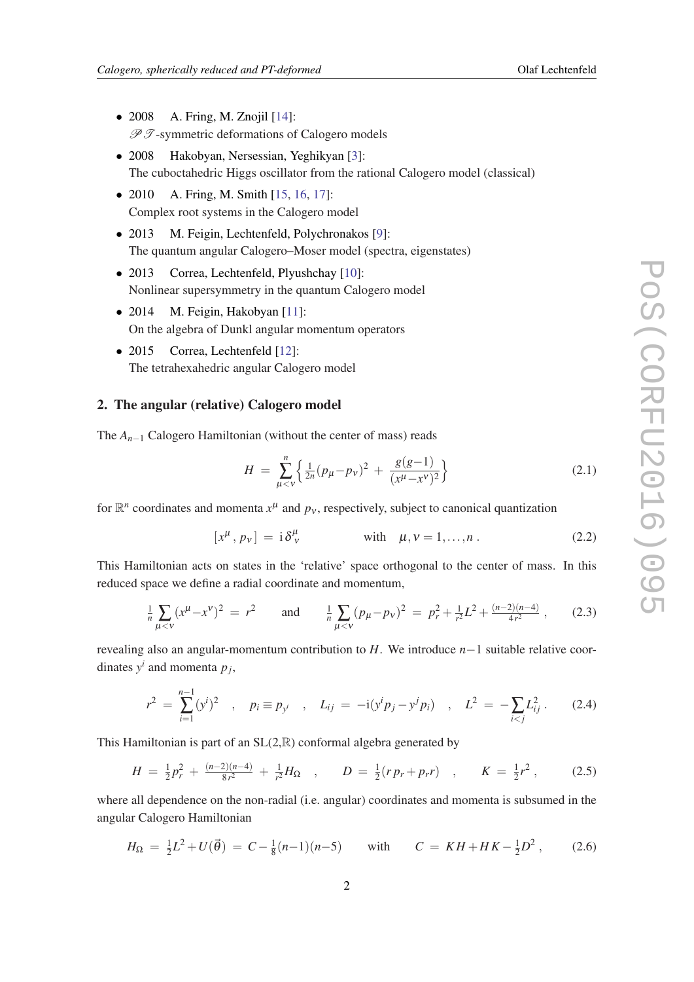- 2008 A. Fring, M. Znojil  $[14]$  $[14]$  $[14]$ :  $\mathscr{P} \mathscr{T}$ -symmetric deformations of Calogero models
- 2008 Hakobyan, Nersessian, Yeghikyan [[3](#page-14-0)]: The cuboctahedric Higgs oscillator from the rational Calogero model (classical)
- 2010 A. Fring, M. Smith  $[15, 16, 17]$  $[15, 16, 17]$  $[15, 16, 17]$  $[15, 16, 17]$  $[15, 16, 17]$  $[15, 16, 17]$ : Complex root systems in the Calogero model
- 2013 M. Feigin, Lechtenfeld, Polychronakos [\[9\]](#page-14-0): The quantum angular Calogero–Moser model (spectra, eigenstates)
- 2013 Correa, Lechtenfeld, Plyushchay [\[10](#page-14-0)]: Nonlinear supersymmetry in the quantum Calogero model
- 2014 M. Feigin, Hakobyan [\[11](#page-14-0)]: On the algebra of Dunkl angular momentum operators
- 2015 Correa, Lechtenfeld [[12](#page-14-0)]: The tetrahexahedric angular Calogero model

### 2. The angular (relative) Calogero model

The *An*−<sup>1</sup> Calogero Hamiltonian (without the center of mass) reads

$$
H = \sum_{\mu < \nu}^{n} \left\{ \frac{1}{2n} (p_{\mu} - p_{\nu})^2 + \frac{g(g-1)}{(x^{\mu} - x^{\nu})^2} \right\} \tag{2.1}
$$

for  $\mathbb{R}^n$  coordinates and momenta  $x^{\mu}$  and  $p_{\nu}$ , respectively, subject to canonical quantization

$$
[x^{\mu}, p_{\nu}] = i \delta^{\mu}_{\nu} \qquad \text{with} \quad \mu, \nu = 1, \dots, n \,. \tag{2.2}
$$

This Hamiltonian acts on states in the 'relative' space orthogonal to the center of mass. In this reduced space we define a radial coordinate and momentum,

$$
\frac{1}{n}\sum_{\mu < \nu} (x^{\mu} - x^{\nu})^2 = r^2 \quad \text{and} \quad \frac{1}{n}\sum_{\mu < \nu} (p_{\mu} - p_{\nu})^2 = p_r^2 + \frac{1}{r^2}L^2 + \frac{(n-2)(n-4)}{4r^2}, \quad (2.3)
$$

revealing also an angular-momentum contribution to *H*. We introduce *n*−1 suitable relative coordinates  $y^i$  and momenta  $p_j$ ,

$$
r^{2} = \sum_{i=1}^{n-1} (y^{i})^{2} , \quad p_{i} \equiv p_{y^{i}} , \quad L_{ij} = -i(y^{i} p_{j} - y^{j} p_{i}) , \quad L^{2} = -\sum_{i < j} L_{ij}^{2} . \tag{2.4}
$$

This Hamiltonian is part of an  $SL(2,\mathbb{R})$  conformal algebra generated by

$$
H = \frac{1}{2}p_r^2 + \frac{(n-2)(n-4)}{8r^2} + \frac{1}{r^2}H_{\Omega} \quad , \qquad D = \frac{1}{2}(rp_r + pr) \quad , \qquad K = \frac{1}{2}r^2 \,, \tag{2.5}
$$

where all dependence on the non-radial (i.e. angular) coordinates and momenta is subsumed in the angular Calogero Hamiltonian

$$
H_{\Omega} = \frac{1}{2}L^2 + U(\vec{\theta}) = C - \frac{1}{8}(n-1)(n-5) \quad \text{with} \quad C = KH + HK - \frac{1}{2}D^2, \quad (2.6)
$$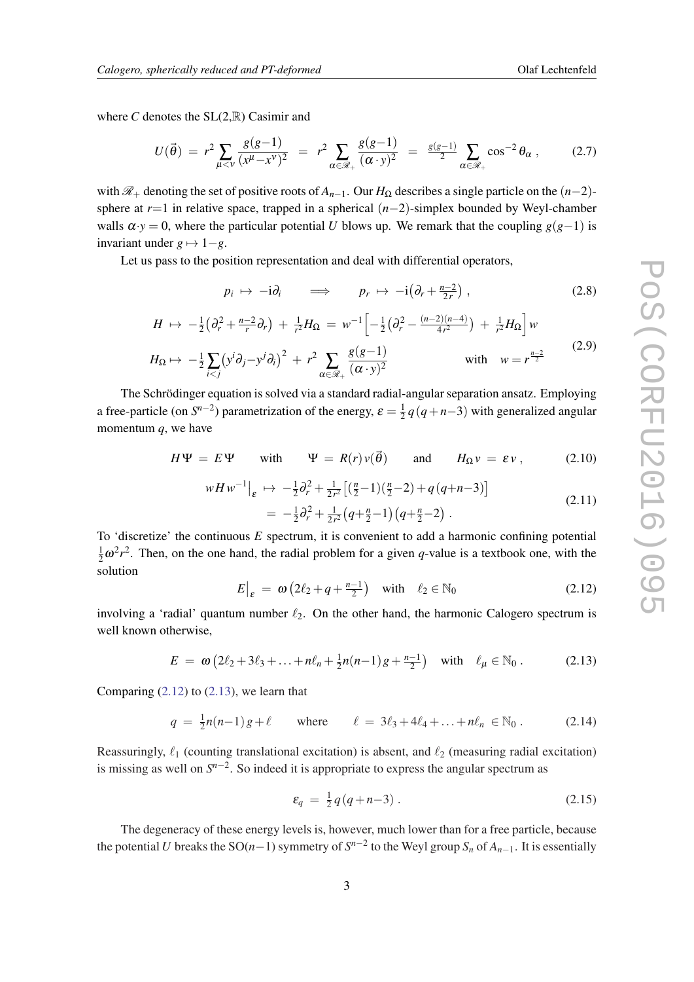where *C* denotes the  $SL(2,\mathbb{R})$  Casimir and

$$
U(\vec{\theta}) = r^2 \sum_{\mu < v} \frac{g(g-1)}{(x^{\mu} - x^{\nu})^2} = r^2 \sum_{\alpha \in \mathcal{R}_+} \frac{g(g-1)}{(\alpha \cdot y)^2} = \frac{g(g-1)}{2} \sum_{\alpha \in \mathcal{R}_+} \cos^{-2} \theta_{\alpha} \,, \tag{2.7}
$$

with  $\mathcal{R}_+$  denoting the set of positive roots of  $A_{n-1}$ . Our  $H_{\Omega}$  describes a single particle on the  $(n-2)$ sphere at *r*=1 in relative space, trapped in a spherical (*n*−2)-simplex bounded by Weyl-chamber walls  $\alpha \cdot y = 0$ , where the particular potential *U* blows up. We remark that the coupling  $g(g-1)$  is invariant under  $g \mapsto 1-g$ .

Let us pass to the position representation and deal with differential operators,

$$
p_i \mapsto -\mathrm{i}\partial_i \qquad \Longrightarrow \qquad p_r \mapsto -\mathrm{i}\big(\partial_r + \tfrac{n-2}{2r}\big) \;, \tag{2.8}
$$

$$
H \mapsto -\frac{1}{2} \left( \partial_r^2 + \frac{n-2}{r} \partial_r \right) + \frac{1}{r^2} H_{\Omega} = w^{-1} \left[ -\frac{1}{2} \left( \partial_r^2 - \frac{(n-2)(n-4)}{4r^2} \right) + \frac{1}{r^2} H_{\Omega} \right] w
$$

$$
H_{\Omega} \mapsto -\frac{1}{2} \sum_{i < j} \left( y^i \partial_j - y^j \partial_i \right)^2 + r^2 \sum_{\alpha \in \mathcal{R}_+} \frac{g(g-1)}{(\alpha \cdot y)^2} \qquad \text{with} \quad w = r^{\frac{n-2}{2}} \tag{2.9}
$$

The Schrödinger equation is solved via a standard radial-angular separation ansatz. Employing a free-particle (on  $S^{n-2}$ ) parametrization of the energy,  $\varepsilon = \frac{1}{2}$  $\frac{1}{2}q(q+n-3)$  with generalized angular momentum *q*, we have

$$
H\Psi = E\Psi \quad \text{with} \quad \Psi = R(r)v(\vec{\theta}) \quad \text{and} \quad H_{\Omega}v = \varepsilon v, \quad (2.10)
$$

$$
wHw^{-1}\Big|_{\varepsilon} \mapsto -\frac{1}{2}\partial_r^2 + \frac{1}{2r^2}\Big[ \left(\frac{n}{2} - 1\right)\left(\frac{n}{2} - 2\right) + q\left(q + n - 3\right) \Big] = -\frac{1}{2}\partial_r^2 + \frac{1}{2r^2}\left(q + \frac{n}{2} - 1\right)\left(q + \frac{n}{2} - 2\right).
$$
 (2.11)

To 'discretize' the continuous *E* spectrum, it is convenient to add a harmonic confining potential 1  $\frac{1}{2}\omega^2 r^2$ . Then, on the one hand, the radial problem for a given *q*-value is a textbook one, with the solution

$$
E\big|_{\varepsilon} = \omega \left(2\ell_2 + q + \frac{n-1}{2}\right) \quad \text{with} \quad \ell_2 \in \mathbb{N}_0 \tag{2.12}
$$

involving a 'radial' quantum number  $\ell_2$ . On the other hand, the harmonic Calogero spectrum is well known otherwise,

$$
E = \omega \left( 2\ell_2 + 3\ell_3 + \ldots + n\ell_n + \frac{1}{2}n(n-1)g + \frac{n-1}{2} \right) \quad \text{with} \quad \ell_\mu \in \mathbb{N}_0 \,.
$$
 (2.13)

Comparing  $(2.12)$  to  $(2.13)$ , we learn that

$$
q = \frac{1}{2}n(n-1)g + \ell \quad \text{where} \quad \ell = 3\ell_3 + 4\ell_4 + \ldots + n\ell_n \in \mathbb{N}_0. \tag{2.14}
$$

Reassuringly,  $\ell_1$  (counting translational excitation) is absent, and  $\ell_2$  (measuring radial excitation) is missing as well on  $S^{n-2}$ . So indeed it is appropriate to express the angular spectrum as

$$
\varepsilon_q = \frac{1}{2} q (q + n - 3) \,. \tag{2.15}
$$

The degeneracy of these energy levels is, however, much lower than for a free particle, because the potential *U* breaks the SO(*n*−1) symmetry of  $S^{n-2}$  to the Weyl group  $S_n$  of  $A_{n-1}$ . It is essentially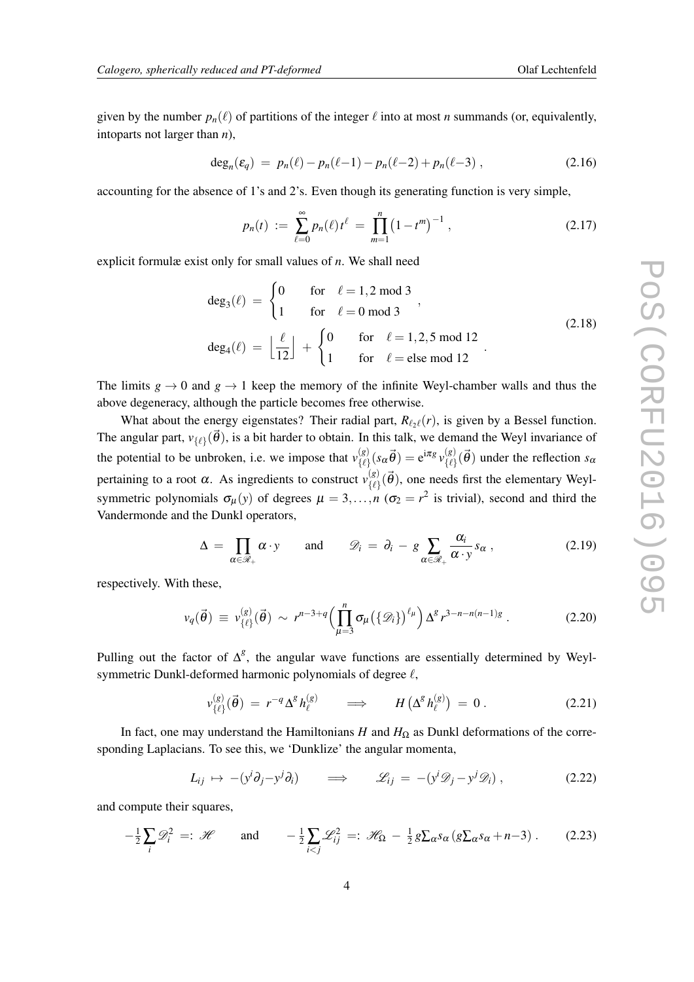<span id="page-4-0"></span>given by the number  $p_n(\ell)$  of partitions of the integer  $\ell$  into at most *n* summands (or, equivalently, intoparts not larger than *n*),

$$
\deg_n(\varepsilon_q) \ = \ p_n(\ell) - p_n(\ell-1) - p_n(\ell-2) + p_n(\ell-3) \ , \tag{2.16}
$$

accounting for the absence of 1's and 2's. Even though its generating function is very simple,

$$
p_n(t) := \sum_{\ell=0}^{\infty} p_n(\ell) t^{\ell} = \prod_{m=1}^{n} (1 - t^m)^{-1}, \qquad (2.17)
$$

explicit formulæ exist only for small values of *n*. We shall need

$$
\deg_3(\ell) = \begin{cases} 0 & \text{for } \ell = 1, 2 \text{ mod } 3 \\ 1 & \text{for } \ell = 0 \text{ mod } 3 \end{cases}
$$
\n
$$
\deg_4(\ell) = \left\lfloor \frac{\ell}{12} \right\rfloor + \begin{cases} 0 & \text{for } \ell = 1, 2, 5 \text{ mod } 12 \\ 1 & \text{for } \ell = \text{else mod } 12 \end{cases}
$$
\n(2.18)

The limits  $g \to 0$  and  $g \to 1$  keep the memory of the infinite Weyl-chamber walls and thus the above degeneracy, although the particle becomes free otherwise.

What about the energy eigenstates? Their radial part,  $R_{\ell_2\ell}(r)$ , is given by a Bessel function. The angular part,  $v_{\{\ell\}}(\vec{\theta})$ , is a bit harder to obtain. In this talk, we demand the Weyl invariance of the potential to be unbroken, i.e. we impose that  $v_{\ell\rho}^{(g)}$  $\frac{\partial \left(g\right)}{\partial\left\{\ell\right\}}(s_{\alpha}\vec{\theta})=\mathrm{e}^{\mathrm{i}\pi g}\,\nu_{\{\ell\}}^{(g)}$  $\binom{(g)}{\{\ell}}$  ( $\vec{\theta}$ ) under the reflection *s*<sub>0</sub> pertaining to a root  $\alpha$ . As ingredients to construct  $v_{\{f\}}^{(g)}$  $\begin{bmatrix} (g)\\ \{ \ell \} \end{bmatrix}$  ( $\vec{\theta}$ ), one needs first the elementary Weylsymmetric polynomials  $\sigma_{\mu}(y)$  of degrees  $\mu = 3, ..., n$  ( $\sigma_2 = r^2$  is trivial), second and third the Vandermonde and the Dunkl operators,

$$
\Delta = \prod_{\alpha \in \mathscr{R}_+} \alpha \cdot y \quad \text{and} \quad \mathscr{D}_i = \partial_i - g \sum_{\alpha \in \mathscr{R}_+} \frac{\alpha_i}{\alpha \cdot y} s_{\alpha} , \qquad (2.19)
$$

respectively. With these,

$$
v_q(\vec{\theta}) \equiv v_{\{\ell\}}^{(g)}(\vec{\theta}) \sim r^{n-3+q} \Big( \prod_{\mu=3}^n \sigma_\mu \big( \{\mathscr{D}_i\} \big)^{\ell_\mu} \Big) \Delta^g r^{3-n-n(n-1)g} . \tag{2.20}
$$

Pulling out the factor of  $\Delta^g$ , the angular wave functions are essentially determined by Weylsymmetric Dunkl-deformed harmonic polynomials of degree  $\ell$ ,

$$
v_{\{\ell\}}^{(g)}(\vec{\theta}) = r^{-q} \Delta^g h_{\ell}^{(g)} \qquad \Longrightarrow \qquad H\left(\Delta^g h_{\ell}^{(g)}\right) = 0 \,. \tag{2.21}
$$

In fact, one may understand the Hamiltonians *H* and  $H_{\Omega}$  as Dunkl deformations of the corresponding Laplacians. To see this, we 'Dunklize' the angular momenta,

$$
L_{ij} \mapsto -(y^i \partial_j - y^j \partial_i) \qquad \Longrightarrow \qquad \mathscr{L}_{ij} = -(y^i \mathscr{D}_j - y^j \mathscr{D}_i) , \qquad (2.22)
$$

and compute their squares,

$$
-\frac{1}{2}\sum_{i}\mathscr{D}_{i}^{2} =: \mathscr{H} \quad \text{and} \quad -\frac{1}{2}\sum_{i < j}\mathscr{L}_{ij}^{2} =: \mathscr{H}_{\Omega} - \frac{1}{2}g\sum_{\alpha}s_{\alpha}(g\sum_{\alpha}s_{\alpha}+n-3) \,. \tag{2.23}
$$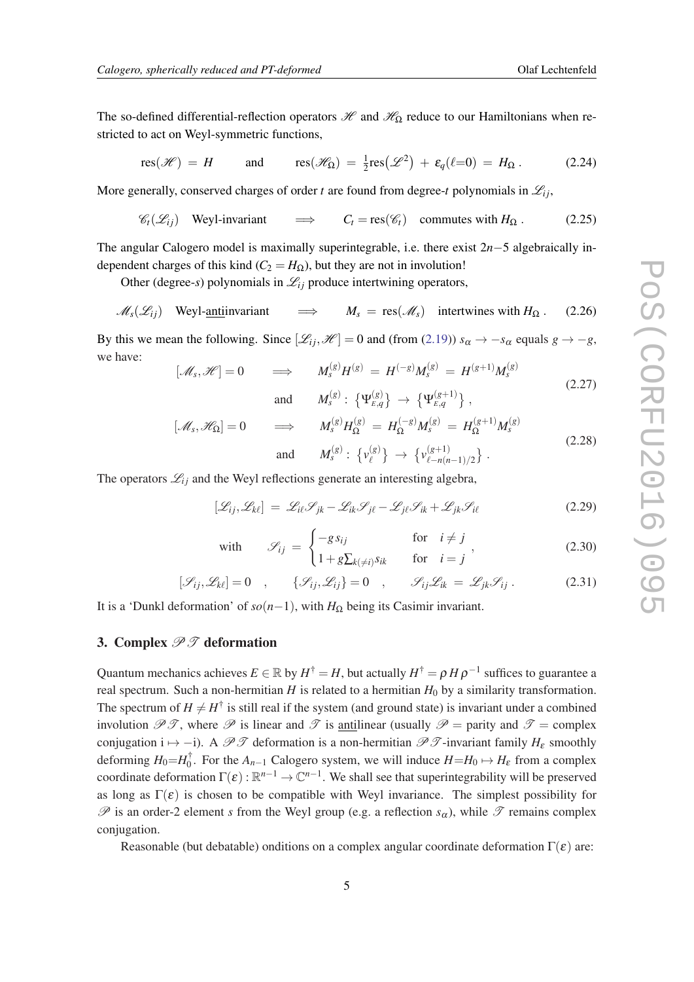The so-defined differential-reflection operators  $\mathcal{H}$  and  $\mathcal{H}_{\Omega}$  reduce to our Hamiltonians when restricted to act on Weyl-symmetric functions,

$$
\operatorname{res}(\mathscr{H}) = H \qquad \text{and} \qquad \operatorname{res}(\mathscr{H}_{\Omega}) = \tfrac{1}{2} \operatorname{res}(\mathscr{L}^2) + \varepsilon_q(\ell=0) = H_{\Omega}. \tag{2.24}
$$

More generally, conserved charges of order *t* are found from degree-*t* polynomials in  $\mathcal{L}_{ij}$ ,

$$
\mathscr{C}_t(\mathscr{L}_{ij}) \quad \text{Weyl-invariant} \quad \implies \quad C_t = \text{res}(\mathscr{C}_t) \quad \text{commutes with } H_{\Omega}. \tag{2.25}
$$

The angular Calogero model is maximally superintegrable, i.e. there exist 2*n*−5 algebraically independent charges of this kind ( $C_2 = H_{\Omega}$ ), but they are not in involution!

Other (degree-*s*) polynomials in  $\mathcal{L}_{ij}$  produce intertwining operators,

$$
\mathcal{M}_s(\mathcal{L}_{ij}) \quad \text{Weyl-anti} \quad \text{invariant} \quad \implies \quad M_s = \text{res}(\mathcal{M}_s) \quad \text{intertwines with } H_\Omega. \quad (2.26)
$$

By this we mean the following. Since  $[\mathcal{L}_{ij},\mathcal{H}] = 0$  and (from [\(2.19](#page-4-0)))  $s_{\alpha} \to -s_{\alpha}$  equals  $g \to -g$ , we have:

$$
[\mathcal{M}_s, \mathcal{H}] = 0 \qquad \Longrightarrow \qquad M_s^{(g)} H^{(g)} = H^{(-g)} M_s^{(g)} = H^{(g+1)} M_s^{(g)}
$$
\n
$$
\text{and} \qquad M_s^{(g)} : \left\{ \Psi_{E,q}^{(g)} \right\} \to \left\{ \Psi_{E,q}^{(g+1)} \right\},\tag{2.27}
$$

$$
[\mathcal{M}_s, \mathcal{H}_{\Omega}] = 0 \implies M_s^{(g)} H_{\Omega}^{(g)} = H_{\Omega}^{(-g)} M_s^{(g)} = H_{\Omega}^{(g+1)} M_s^{(g)}
$$
  
and 
$$
M_s^{(g)} : \{v_{\ell}^{(g)}\} \to \{v_{\ell - n(n-1)/2}^{(g+1)}\}.
$$
 (2.28)

The operators  $\mathcal{L}_{ij}$  and the Weyl reflections generate an interesting algebra,

$$
[\mathcal{L}_{ij}, \mathcal{L}_{kl}] = \mathcal{L}_{il} \mathcal{S}_{jk} - \mathcal{L}_{ik} \mathcal{S}_{jl} - \mathcal{L}_{jl} \mathcal{S}_{ik} + \mathcal{L}_{jk} \mathcal{S}_{il}
$$
(2.29)

with 
$$
\mathscr{S}_{ij} = \begin{cases}\n-g s_{ij} & \text{for } i \neq j \\
1 + g \sum_{k(\neq i)} s_{ik} & \text{for } i = j\n\end{cases}
$$
\n(2.30)

$$
[\mathcal{S}_{ij}, \mathcal{L}_{k\ell}] = 0 \quad , \qquad \{\mathcal{S}_{ij}, \mathcal{L}_{ij}\} = 0 \quad , \qquad \mathcal{S}_{ij} \mathcal{L}_{ik} = \mathcal{L}_{jk} \mathcal{S}_{ij} \; . \tag{2.31}
$$

It is a 'Dunkl deformation' of  $so(n-1)$ , with  $H_{\Omega}$  being its Casimir invariant.

#### 3. Complex  $\mathscr{P}\mathscr{T}$  deformation

Quantum mechanics achieves  $E \in \mathbb{R}$  by  $H^{\dagger} = H$ , but actually  $H^{\dagger} = \rho \, H \, \rho^{-1}$  suffices to guarantee a real spectrum. Such a non-hermitian *H* is related to a hermitian  $H_0$  by a similarity transformation. The spectrum of  $H \neq H^{\dagger}$  is still real if the system (and ground state) is invariant under a combined involution  $\mathscr{P}\mathscr{T}$ , where  $\mathscr{P}$  is linear and  $\mathscr{T}$  is <u>anti</u>linear (usually  $\mathscr{P}$  = parity and  $\mathscr{T}$  = complex conjugation i  $\mapsto$  −i). A PT deformation is a non-hermitian PT -invariant family *H*<sub>ε</sub> smoothly deforming  $H_0 = H_0^{\dagger}$  $\int_0^T$ . For the  $A_{n-1}$  Calogero system, we will induce  $H = H_0 \mapsto H_{\varepsilon}$  from a complex coordinate deformation  $\Gamma(\varepsilon): \mathbb{R}^{n-1} \to \mathbb{C}^{n-1}$ . We shall see that superintegrability will be preserved as long as  $\Gamma(\varepsilon)$  is chosen to be compatible with Weyl invariance. The simplest possibility for  $\mathscr P$  is an order-2 element *s* from the Weyl group (e.g. a reflection  $s_\alpha$ ), while  $\mathscr T$  remains complex conjugation.

Reasonable (but debatable) onditions on a complex angular coordinate deformation  $\Gamma(\varepsilon)$  are: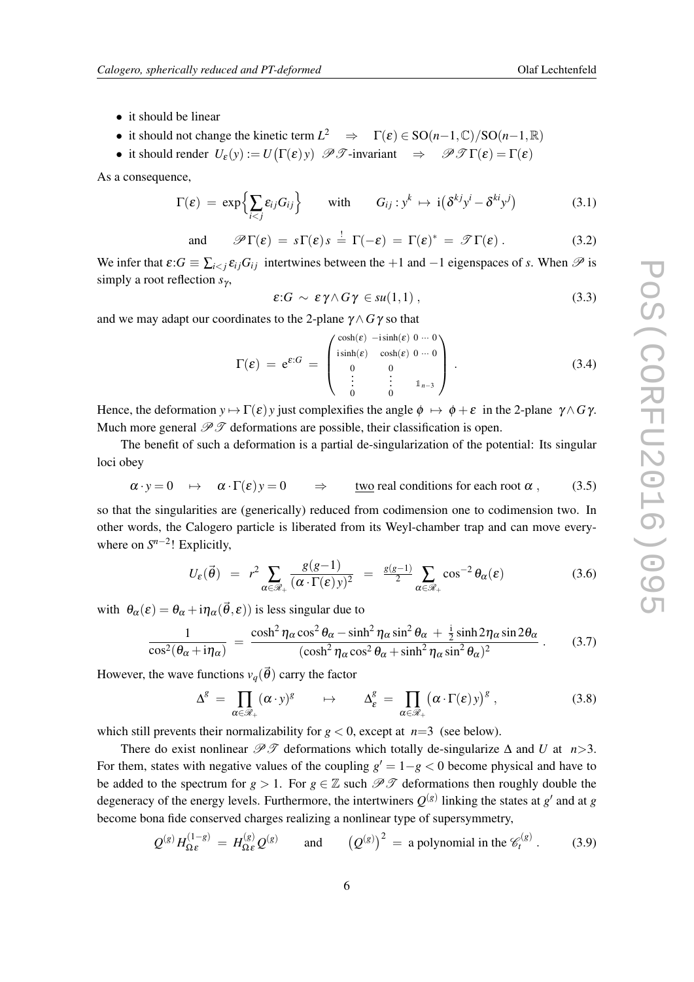- it should be linear
- it should not change the kinetic term  $L^2 \Rightarrow \Gamma(\varepsilon) \in SO(n-1,\mathbb{C})/SO(n-1,\mathbb{R})$
- it should render  $U_{\varepsilon}(y) := U(\Gamma(\varepsilon)) \mathscr{P} \mathscr{T}$ -invariant  $\Rightarrow \mathscr{P} \mathscr{T} \Gamma(\varepsilon) = \Gamma(\varepsilon)$

As a consequence,

$$
\Gamma(\varepsilon) = \exp\Bigl\{\sum_{i < j} \varepsilon_{ij} G_{ij}\Bigr\} \qquad \text{with} \qquad G_{ij} : y^k \mapsto i\bigl(\delta^{kj} y^i - \delta^{kj} y^j\bigr) \tag{3.1}
$$

and 
$$
\mathscr{P}\Gamma(\varepsilon) = s\Gamma(\varepsilon)s = \Gamma(-\varepsilon) = \Gamma(\varepsilon)^* = \mathscr{T}\Gamma(\varepsilon)
$$
. (3.2)

We infer that  $\epsilon$ : $G \equiv \sum_{i \leq j} \epsilon_{ij} G_{ij}$  intertwines between the +1 and −1 eigenspaces of *s*. When  $\mathscr P$  is simply a root reflection *s*<sub>γ</sub>,

$$
\varepsilon: G \sim \varepsilon \gamma \wedge G \gamma \in su(1,1) , \qquad (3.3)
$$

and we may adapt our coordinates to the 2-plane  $\gamma \wedge G\gamma$  so that

$$
\Gamma(\varepsilon) = e^{\varepsilon:G} = \begin{pmatrix} \cosh(\varepsilon) & -i\sinh(\varepsilon) & 0 & \cdots & 0 \\ i\sinh(\varepsilon) & \cosh(\varepsilon) & 0 & \cdots & 0 \\ 0 & 0 & & & \\ \vdots & \vdots & \vdots & \vdots & \\ 0 & 0 & & & \end{pmatrix} . \tag{3.4}
$$

Hence, the deformation  $y \mapsto \Gamma(\varepsilon) y$  just complexifies the angle  $\phi \mapsto \phi + \varepsilon$  in the 2-plane  $\gamma \wedge G \gamma$ . Much more general  $\mathscr{P} \mathscr{T}$  deformations are possible, their classification is open.

The benefit of such a deformation is a partial de-singularization of the potential: Its singular loci obey

 $\alpha \cdot y = 0 \rightarrow \alpha \cdot \Gamma(\varepsilon) y = 0 \Rightarrow$  two real conditions for each root  $\alpha$ , (3.5)

so that the singularities are (generically) reduced from codimension one to codimension two. In other words, the Calogero particle is liberated from its Weyl-chamber trap and can move everywhere on  $S^{n-2}$ ! Explicitly,

$$
U_{\varepsilon}(\vec{\theta}) = r^2 \sum_{\alpha \in \mathcal{R}_+} \frac{g(g-1)}{(\alpha \cdot \Gamma(\varepsilon))y^2} = \frac{g(g-1)}{2} \sum_{\alpha \in \mathcal{R}_+} \cos^{-2} \theta_{\alpha}(\varepsilon) \tag{3.6}
$$

with  $\theta_{\alpha}(\varepsilon) = \theta_{\alpha} + i\eta_{\alpha}(\vec{\theta}, \varepsilon)$  is less singular due to

$$
\frac{1}{\cos^2(\theta_\alpha + i\eta_\alpha)} = \frac{\cosh^2 \eta_\alpha \cos^2 \theta_\alpha - \sinh^2 \eta_\alpha \sin^2 \theta_\alpha + \frac{i}{2} \sinh 2\eta_\alpha \sin 2\theta_\alpha}{(\cosh^2 \eta_\alpha \cos^2 \theta_\alpha + \sinh^2 \eta_\alpha \sin^2 \theta_\alpha)^2} \,. \tag{3.7}
$$

However, the wave functions  $v_q(\vec{\theta})$  carry the factor

$$
\Delta^g = \prod_{\alpha \in \mathscr{R}_+} (\alpha \cdot y)^g \qquad \mapsto \qquad \Delta^g_{\varepsilon} = \prod_{\alpha \in \mathscr{R}_+} (\alpha \cdot \Gamma(\varepsilon) y)^g \;, \tag{3.8}
$$

which still prevents their normalizability for  $g < 0$ , except at  $n=3$  (see below).

There do exist nonlinear  $\mathcal{P}\mathcal{F}$  deformations which totally de-singularize  $\Delta$  and *U* at *n* > 3. For them, states with negative values of the coupling  $g' = 1-g < 0$  become physical and have to be added to the spectrum for  $g > 1$ . For  $g \in \mathbb{Z}$  such  $\mathscr{P} \mathscr{T}$  deformations then roughly double the degeneracy of the energy levels. Furthermore, the intertwiners  $Q^{(g)}$  linking the states at  $g'$  and at  $g$ become bona fide conserved charges realizing a nonlinear type of supersymmetry,

$$
Q^{(g)}H_{\Omega\epsilon}^{(1-g)} = H_{\Omega\epsilon}^{(g)}Q^{(g)}
$$
 and  $(Q^{(g)})^2 =$  a polynomial in the  $\mathscr{C}_t^{(g)}$ . (3.9)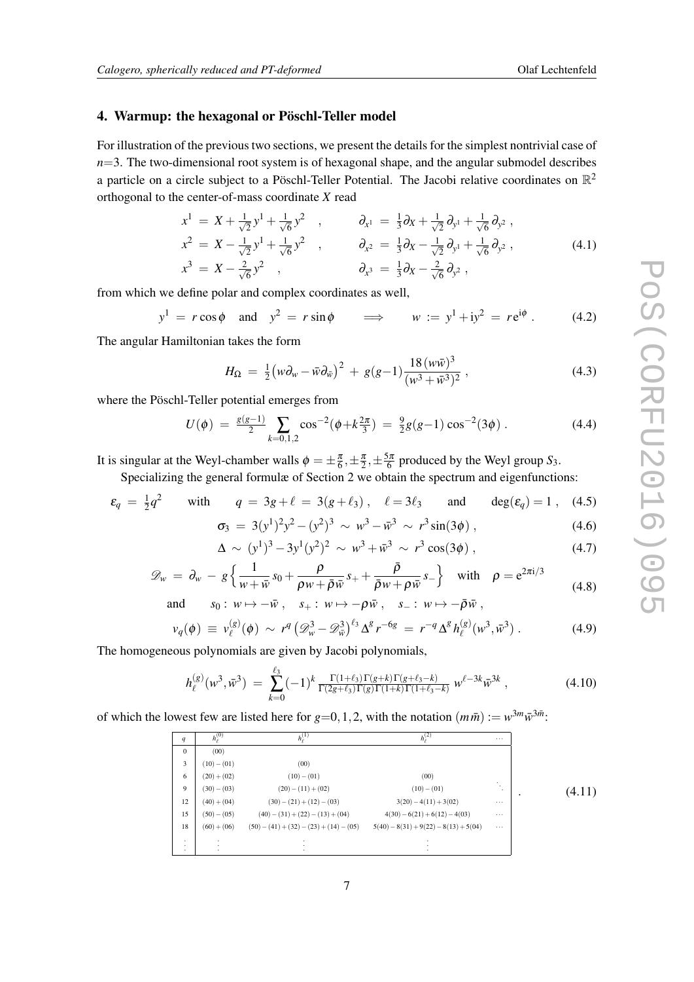#### <span id="page-7-0"></span>4. Warmup: the hexagonal or Pöschl-Teller model

For illustration of the previous two sections, we present the details for the simplest nontrivial case of  $n=3$ . The two-dimensional root system is of hexagonal shape, and the angular submodel describes a particle on a circle subject to a Pöschl-Teller Potential. The Jacobi relative coordinates on  $\mathbb{R}^2$ orthogonal to the center-of-mass coordinate *X* read

$$
x^{1} = X + \frac{1}{\sqrt{2}}y^{1} + \frac{1}{\sqrt{6}}y^{2} , \qquad \partial_{x^{1}} = \frac{1}{3}\partial_{x} + \frac{1}{\sqrt{2}}\partial_{y^{1}} + \frac{1}{\sqrt{6}}\partial_{y^{2}} ,
$$
  
\n
$$
x^{2} = X - \frac{1}{\sqrt{2}}y^{1} + \frac{1}{\sqrt{6}}y^{2} , \qquad \partial_{x^{2}} = \frac{1}{3}\partial_{x} - \frac{1}{\sqrt{2}}\partial_{y^{1}} + \frac{1}{\sqrt{6}}\partial_{y^{2}} ,
$$
  
\n
$$
x^{3} = X - \frac{2}{\sqrt{6}}y^{2} , \qquad \partial_{x^{3}} = \frac{1}{3}\partial_{x} - \frac{2}{\sqrt{6}}\partial_{y^{2}} ,
$$
  
\n(4.1)

from which we define polar and complex coordinates as well,

$$
y^1 = r \cos \phi
$$
 and  $y^2 = r \sin \phi$   $\implies$   $w := y^1 + iy^2 = re^{i\phi}$ . (4.2)

The angular Hamiltonian takes the form

$$
H_{\Omega} = \frac{1}{2} \left( w \partial_{w} - \bar{w} \partial_{\bar{w}} \right)^{2} + g(g-1) \frac{18 \left( w \bar{w} \right)^{3}}{\left( w^{3} + \bar{w}^{3} \right)^{2}}, \tag{4.3}
$$

where the Pöschl-Teller potential emerges from

$$
U(\phi) = \frac{g(g-1)}{2} \sum_{k=0,1,2} \cos^{-2}(\phi + k\frac{2\pi}{3}) = \frac{9}{2}g(g-1)\cos^{-2}(3\phi) \,. \tag{4.4}
$$

It is singular at the Weyl-chamber walls  $\phi = \pm \frac{\pi}{6}, \pm \frac{\pi}{2}, \pm \frac{5\pi}{6}$  produced by the Weyl group *S*<sub>3</sub>.

Specializing the general formulæ of Section 2 we obtain the spectrum and eigenfunctions:

$$
\varepsilon_q = \frac{1}{2}q^2
$$
 with  $q = 3g + \ell = 3(g + \ell_3)$ ,  $\ell = 3\ell_3$  and  $\deg(\varepsilon_q) = 1$ , (4.5)

$$
\sigma_3 = 3(y^1)^2 y^2 - (y^2)^3 \sim w^3 - \bar{w}^3 \sim r^3 \sin(3\phi) ,
$$
\n
$$
\Delta \sim (y^1)^3 - 3y^1 (y^2)^2 \sim w^3 + \bar{w}^3 \sim r^3 \cos(3\phi) ,
$$
\n(4.7)

$$
\mathscr{D}_w = \partial_w - g \left\{ \frac{1}{w + \bar{w}} s_0 + \frac{\rho}{\rho w + \bar{\rho} \bar{w}} s_+ + \frac{\bar{\rho}}{\bar{\rho} w + \rho \bar{w}} s_- \right\} \quad \text{with} \quad \rho = e^{2\pi i/3}
$$
\n(4.8)

and  $s_0: w \mapsto -\bar{w}$ ,  $s_+: w \mapsto -\rho \bar{w}$ ,  $s_-: w \mapsto -\bar{\rho} \bar{w}$ ,

$$
v_q(\phi) \equiv v_\ell^{(g)}(\phi) \sim r^q \left(\mathcal{D}_w^3 - \mathcal{D}_w^3\right)^{\ell_3} \Delta^g r^{-6g} = r^{-q} \Delta^g h_\ell^{(g)}(w^3, \bar{w}^3) \,. \tag{4.9}
$$

The homogeneous polynomials are given by Jacobi polynomials,

$$
h_{\ell}^{(g)}(w^3, \bar{w}^3) = \sum_{k=0}^{\ell_3} (-1)^k \frac{\Gamma(1+\ell_3)\Gamma(g+k)\Gamma(g+\ell_3-k)}{\Gamma(2g+\ell_3)\Gamma(g)\Gamma(1+k)\Gamma(1+\ell_3-k)} w^{\ell-3k} \bar{w}^{3k} , \qquad (4.10)
$$

of which the lowest few are listed here for  $g=0,1,2$ , with the notation  $(m\bar{m}) := w^{3m}\bar{w}^{3\bar{m}}$ .

| q                  | $h_{\ell}^{(0)}$        | $h_{a}^{(1)}$                             | $h_{e}^{(2)}$                           | $\cdots$     |        |
|--------------------|-------------------------|-------------------------------------------|-----------------------------------------|--------------|--------|
| $\Omega$           | (00)                    |                                           |                                         |              |        |
| 3                  | $(10) - (01)$           | (00)                                      |                                         |              |        |
| 6                  | $(20)+(02)$             | $(10) - (01)$                             | (00)                                    |              |        |
| 9                  | $(30) - (03)$           | $(20) - (11) + (02)$                      | $(10) - (01)$                           | $\cdot$<br>٠ | (4.11) |
| 12                 | $(40) + (04)$           | $(30) - (21) + (12) - (03)$               | $3(20) - 4(11) + 3(02)$                 | $\cdots$     |        |
| 15                 | $(50) - (05)$           | $(40) - (31) + (22) - (13) + (04)$        | $4(30) - 6(21) + 6(12) - 4(03)$         | $\cdots$     |        |
| 18                 | $(60) + (06)$           | $(50) - (41) + (32) - (23) + (14) - (05)$ | $5(40) - 8(31) + 9(22) - 8(13) + 5(04)$ | $\cdots$     |        |
| $\cdot$<br>$\cdot$ | $\mathbf{r}$<br>$\cdot$ |                                           |                                         |              |        |
| $\cdot$            |                         |                                           |                                         |              |        |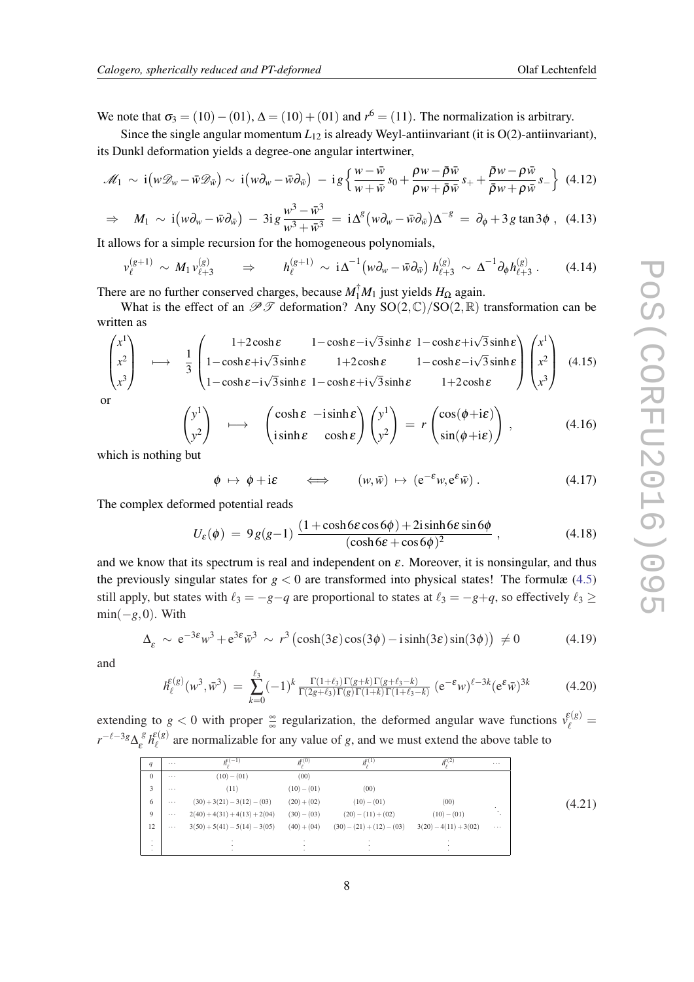We note that  $\sigma_3 = (10) - (01)$ ,  $\Delta = (10) + (01)$  and  $r^6 = (11)$ . The normalization is arbitrary.

Since the single angular momentum  $L_{12}$  is already Weyl-antiinvariant (it is  $O(2)$ -antiinvariant), its Dunkl deformation yields a degree-one angular intertwiner,

$$
\mathscr{M}_1 \sim \mathrm{i} \left( w \mathscr{D}_w - \bar{w} \mathscr{D}_{\bar{w}} \right) \sim \mathrm{i} \left( w \partial_w - \bar{w} \partial_{\bar{w}} \right) - \mathrm{i} \, g \left\{ \frac{w - \bar{w}}{w + \bar{w}} s_0 + \frac{\rho w - \bar{\rho} \bar{w}}{\rho w + \bar{\rho} \bar{w}} s_+ + \frac{\bar{\rho} w - \rho \bar{w}}{\bar{\rho} w + \rho \bar{w}} s_- \right\} \tag{4.12}
$$

$$
\Rightarrow M_1 \sim \mathrm{i} \left( w \partial_w - \bar{w} \partial_{\bar{w}} \right) - 3 \mathrm{i} \, g \, \frac{w^3 - \bar{w}^3}{w^3 + \bar{w}^3} = \mathrm{i} \, \Delta^g \left( w \partial_w - \bar{w} \partial_{\bar{w}} \right) \Delta^{-g} = \partial_\phi + 3 \, g \tan 3 \phi \; , \tag{4.13}
$$

It allows for a simple recursion for the homogeneous polynomials,

$$
\nu_{\ell}^{(g+1)} \sim M_1 \nu_{\ell+3}^{(g)} \qquad \Rightarrow \qquad h_{\ell}^{(g+1)} \sim i \Delta^{-1} \big( w \partial_w - \bar{w} \partial_{\bar{w}} \big) \ h_{\ell+3}^{(g)} \sim \Delta^{-1} \partial_{\phi} h_{\ell+3}^{(g)} \,.
$$
 (4.14)

There are no further conserved charges, because  $M_1^{\dagger} M_1$  just yields  $H_{\Omega}$  again.

What is the effect of an  $\mathscr{P} \mathscr{T}$  deformation? Any SO(2, C)/SO(2, R) transformation can be written as

$$
\begin{pmatrix} x^{1} \\ x^{2} \\ x^{3} \end{pmatrix} \longrightarrow \frac{1}{3} \begin{pmatrix} 1+2\cosh \varepsilon & 1-\cosh \varepsilon - i\sqrt{3}\sinh \varepsilon & 1-\cosh \varepsilon + i\sqrt{3}\sinh \varepsilon \\ 1-\cosh \varepsilon + i\sqrt{3}\sinh \varepsilon & 1+2\cosh \varepsilon & 1-\cosh \varepsilon - i\sqrt{3}\sinh \varepsilon \\ 1-\cosh \varepsilon - i\sqrt{3}\sinh \varepsilon & 1+\cosh \varepsilon + i\sqrt{3}\sinh \varepsilon & 1+2\cosh \varepsilon \end{pmatrix} \begin{pmatrix} x^{1} \\ x^{2} \\ x^{3} \end{pmatrix}
$$
(4.15)

or

$$
\begin{pmatrix} y^1 \\ y^2 \end{pmatrix} \longrightarrow \begin{pmatrix} \cosh \varepsilon & -i \sinh \varepsilon \\ i \sinh \varepsilon & \cosh \varepsilon \end{pmatrix} \begin{pmatrix} y^1 \\ y^2 \end{pmatrix} = r \begin{pmatrix} \cos(\phi + i\varepsilon) \\ \sin(\phi + i\varepsilon) \end{pmatrix}, \tag{4.16}
$$

which is nothing but

 $\phi \mapsto \phi + i\varepsilon$  $(w, \bar{w}) \mapsto (e^{-\varepsilon}w, e^{\varepsilon} \bar{w}).$  $(4.17)$ 

The complex deformed potential reads

$$
U_{\varepsilon}(\phi) = 9g(g-1) \frac{(1+\cosh 6\varepsilon \cos 6\phi) + 2i \sinh 6\varepsilon \sin 6\phi}{(\cosh 6\varepsilon + \cos 6\phi)^2},
$$
\n(4.18)

and we know that its spectrum is real and independent on  $\varepsilon$ . Moreover, it is nonsingular, and thus the previously singular states for  $g < 0$  are transformed into physical states! The formulæ ([4.5](#page-7-0)) still apply, but states with  $\ell_3 = -g-q$  are proportional to states at  $\ell_3 = -g+q$ , so effectively  $\ell_3 \ge$  $min(-g, 0)$ . With

$$
\Delta_{\varepsilon} \sim e^{-3\varepsilon} w^3 + e^{3\varepsilon} \bar{w}^3 \sim r^3 \left( \cosh(3\varepsilon) \cos(3\phi) - i \sinh(3\varepsilon) \sin(3\phi) \right) \neq 0 \tag{4.19}
$$

and

$$
h_{\ell}^{\varepsilon(g)}(w^3, \bar{w}^3) = \sum_{k=0}^{\ell_3} (-1)^k \frac{\Gamma(1+\ell_3)\Gamma(g+k)\Gamma(g+\ell_3-k)}{\Gamma(2g+\ell_3)\Gamma(g)\Gamma(1+k)\Gamma(1+\ell_3-k)} (e^{-\varepsilon}w)^{\ell-3k} (e^{\varepsilon} \bar{w})^{3k}
$$
(4.20)

extending to  $g < 0$  with proper  $\frac{\infty}{\infty}$  regularization, the deformed angular wave functions  $v_{\ell}^{(g)}$  =  $r^{-\ell-3g}\Delta_{\varepsilon}^{\ \ \mathcal{S}}h_{\ell}^{\varepsilon(g)}$  $\ell$ <sup>e(g)</sup> are normalizable for any value of *g*, and we must extend the above table to

| q            |          | $h^{\varepsilon(-1)}$           | $\overline{h_{\epsilon}^{\epsilon(0)}}$ | $h^{\epsilon(1)}$           | $h^{\varepsilon(2)}$    | $\cdots$ |        |
|--------------|----------|---------------------------------|-----------------------------------------|-----------------------------|-------------------------|----------|--------|
| $\mathbf{0}$ | $\cdots$ | $(10) - (01)$                   | (00)                                    |                             |                         |          |        |
| 3            | $\cdots$ | (11)                            | $(10) - (01)$                           | (00)                        |                         |          |        |
| 6            | $\cdots$ | $(30) + 3(21) - 3(12) - (03)$   | $(20)+(02)$                             | $(10) - (01)$               | (00)                    | ٠        | (4.21) |
| 9            | $\cdots$ | $2(40) + 4(31) + 4(13) + 2(04)$ | $(30) - (03)$                           | $(20) - (11) + (02)$        | $(10) - (01)$           |          |        |
| 12           | $\cdots$ | $3(50) + 5(41) - 5(14) - 3(05)$ | $(40) + (04)$                           | $(30) - (21) + (12) - (03)$ | $3(20) - 4(11) + 3(02)$ | $\cdots$ |        |
| ۰.<br>۰.     |          |                                 | $\cdot$                                 |                             |                         |          |        |
|              |          |                                 |                                         |                             |                         |          |        |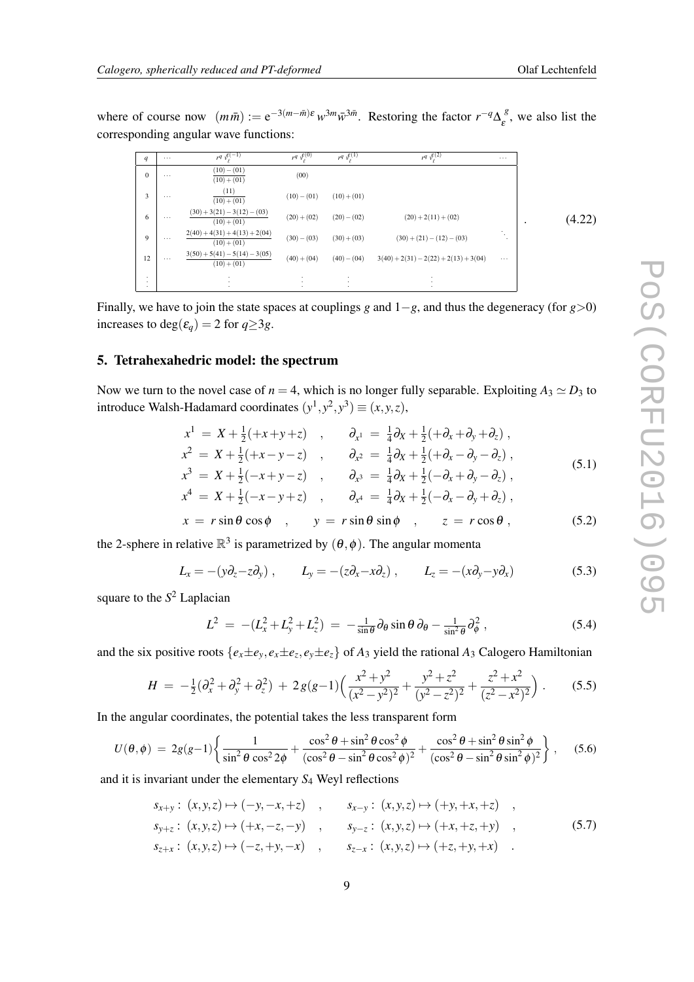where of course now  $(m\bar{m}) := e^{-3(m-\bar{m})\epsilon} w^{3m} \bar{w}^{3\bar{m}}$ . Restoring the factor  $r^{-q} \Delta_{\epsilon}^{g}$ , we also list the corresponding angular wave functions:

| q            | $\cdots$ | $r^q v_\ell^{ \epsilon(-1)}$                   | $r^q v_\ell^{(\ell)}$ | $r^q \frac{\varepsilon}{v_\ell}$ <sup>(1)</sup> | $r^q v_\ell^{\varepsilon(2)}$           | $\cdots$ |              |
|--------------|----------|------------------------------------------------|-----------------------|-------------------------------------------------|-----------------------------------------|----------|--------------|
| $\mathbf{0}$ | $\cdots$ | $(10) - (01)$<br>$(10)+(01)$                   | (00)                  |                                                 |                                         |          |              |
| 3            | $\cdots$ | (11)<br>$(10)+(01)$                            | $(10) - (01)$         | $(10)+(01)$                                     |                                         |          |              |
| 6            | $\cdots$ | $(30) + 3(21) - 3(12) - (03)$<br>$(10)+(01)$   | $(20)+(02)$           | $(20) - (02)$                                   | $(20) + 2(11) + (02)$                   |          | (4.22)<br>٠. |
| 9            | $\cdots$ | $2(40) + 4(31) + 4(13) + 2(04)$<br>$(10)+(01)$ | $(30) - (03)$         | $(30)+(03)$                                     | $(30) + (21) - (12) - (03)$             | ۰.<br>٠  |              |
| 12           | $\cdots$ | $3(50) + 5(41) - 5(14) - 3(05)$<br>$(10)+(01)$ | $(40) + (04)$         | $(40) - (04)$                                   | $3(40) + 2(31) - 2(22) + 2(13) + 3(04)$ | $\cdots$ |              |
| ٠<br>٠       |          | $\ddot{\phantom{a}}$<br>٠                      |                       | ٠<br>٠                                          | ٠                                       |          |              |

Finally, we have to join the state spaces at couplings *g* and 1−*g*, and thus the degeneracy (for *g*>0) increases to deg( $\varepsilon_q$ ) = 2 for  $q \geq 3g$ .

#### 5. Tetrahexahedric model: the spectrum

Now we turn to the novel case of  $n = 4$ , which is no longer fully separable. Exploiting  $A_3 \simeq D_3$  to introduce Walsh-Hadamard coordinates  $(y^1, y^2, y^3) \equiv (x, y, z)$ ,

$$
x^{1} = X + \frac{1}{2}(+x+y+z) , \qquad \partial_{x^{1}} = \frac{1}{4}\partial_{x} + \frac{1}{2}(+\partial_{x}+\partial_{y}+\partial_{z}),
$$
  
\n
$$
x^{2} = X + \frac{1}{2}(+x-y-z) , \qquad \partial_{x^{2}} = \frac{1}{4}\partial_{x} + \frac{1}{2}(+\partial_{x}-\partial_{y}-\partial_{z}),
$$
  
\n
$$
x^{3} = X + \frac{1}{2}(-x+y-z) , \qquad \partial_{x^{3}} = \frac{1}{4}\partial_{x} + \frac{1}{2}(-\partial_{x}+\partial_{y}-\partial_{z}),
$$
  
\n
$$
x^{4} = X + \frac{1}{2}(-x-y+z) , \qquad \partial_{x^{4}} = \frac{1}{4}\partial_{x} + \frac{1}{2}(-\partial_{x}-\partial_{y}+\partial_{z}),
$$
  
\n(5.1)

$$
x = r \sin \theta \cos \phi \quad , \qquad y = r \sin \theta \sin \phi \quad , \qquad z = r \cos \theta \; , \tag{5.2}
$$

the 2-sphere in relative  $\mathbb{R}^3$  is parametrized by  $(\theta, \phi)$ . The angular momenta

 $L_x = -(y\partial_z - z\partial_y),$   $L_y = -(z\partial_x - x\partial_z),$   $L_z = -(x\partial_y - y\partial_x)$  (5.3)

square to the *S* <sup>2</sup> Laplacian

$$
L^2 = -(L_x^2 + L_y^2 + L_z^2) = -\frac{1}{\sin \theta} \partial_\theta \sin \theta \, \partial_\theta - \frac{1}{\sin^2 \theta} \partial_\phi^2 \,, \tag{5.4}
$$

and the six positive roots  $\{e_x \pm e_y, e_x \pm e_z, e_y \pm e_z\}$  of  $A_3$  yield the rational  $A_3$  Calogero Hamiltonian

$$
H = -\frac{1}{2}(\partial_x^2 + \partial_y^2 + \partial_z^2) + 2g(g-1)\left(\frac{x^2 + y^2}{(x^2 - y^2)^2} + \frac{y^2 + z^2}{(y^2 - z^2)^2} + \frac{z^2 + x^2}{(z^2 - x^2)^2}\right). \tag{5.5}
$$

In the angular coordinates, the potential takes the less transparent form

$$
U(\theta,\phi) = 2g(g-1)\left\{\frac{1}{\sin^2\theta\cos^2 2\phi} + \frac{\cos^2\theta + \sin^2\theta\cos^2\phi}{(\cos^2\theta - \sin^2\theta\cos^2\phi)^2} + \frac{\cos^2\theta + \sin^2\theta\sin^2\phi}{(\cos^2\theta - \sin^2\theta\sin^2\phi)^2}\right\},
$$
 (5.6)

and it is invariant under the elementary *S*<sup>4</sup> Weyl reflections

$$
s_{x+y}: (x,y,z) \mapsto (-y, -x, +z) , \qquad s_{x-y}: (x,y,z) \mapsto (+y, +x, +z) ,
$$
  
\n
$$
s_{y+z}: (x,y,z) \mapsto (+x, -z, -y) , \qquad s_{y-z}: (x,y,z) \mapsto (+x, +z, +y) ,
$$
  
\n
$$
s_{z+x}: (x,y,z) \mapsto (-z, +y, -x) , \qquad s_{z-x}: (x,y,z) \mapsto (+z, +y, +x) .
$$
 (5.7)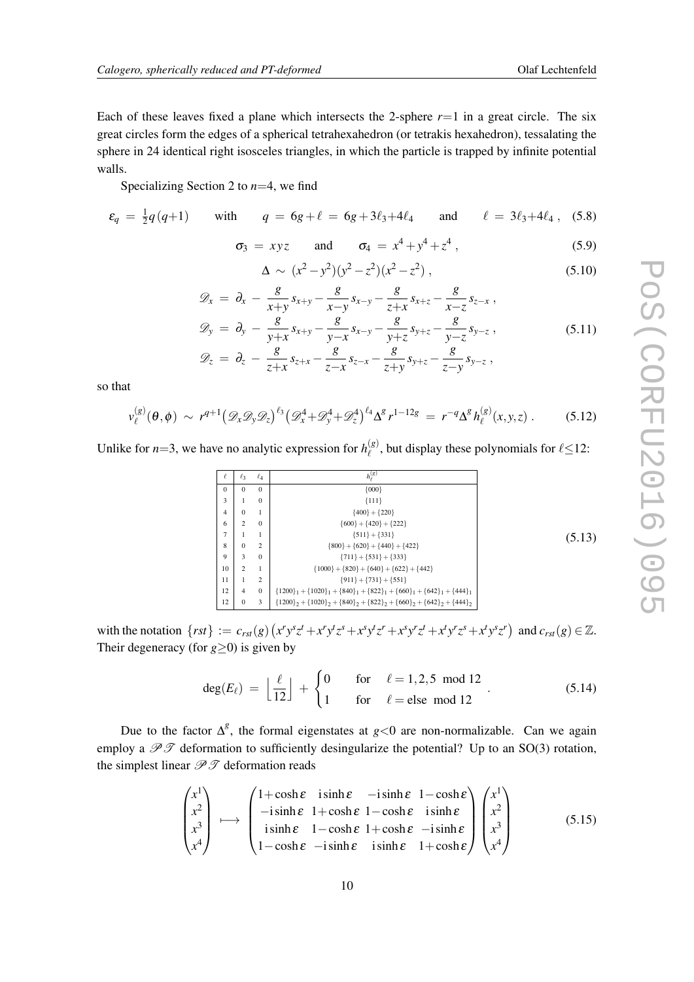Each of these leaves fixed a plane which intersects the 2-sphere  $r=1$  in a great circle. The six great circles form the edges of a spherical tetrahexahedron (or tetrakis hexahedron), tessalating the sphere in 24 identical right isosceles triangles, in which the particle is trapped by infinite potential walls.

Specializing Section 2 to *n*=4, we find

$$
\varepsilon_q = \frac{1}{2}q(q+1)
$$
 with  $q = 6g + \ell = 6g + 3\ell_3 + 4\ell_4$  and  $\ell = 3\ell_3 + 4\ell_4$ , (5.8)

$$
\sigma_3 = xyz
$$
 and  $\sigma_4 = x^4 + y^4 + z^4$ , (5.9)

$$
\Delta \sim (x^2 - y^2)(y^2 - z^2)(x^2 - z^2) , \qquad (5.10)
$$

$$
\mathscr{D}_x = \partial_x - \frac{g}{x+y} s_{x+y} - \frac{g}{x-y} s_{x-y} - \frac{g}{z+x} s_{x+z} - \frac{g}{x-z} s_{z-x} ,
$$

$$
\mathcal{D}_y = \partial_y - \frac{8}{y+x} s_{x+y} - \frac{8}{y-x} s_{x-y} - \frac{8}{y+z} s_{y+z} - \frac{8}{y-z} s_{y-z} ,
$$
\n
$$
\mathcal{D}_z = \partial_z - \frac{8}{z+x} s_{z+x} - \frac{8}{z-x} s_{z-x} - \frac{8}{z+y} s_{y+z} - \frac{8}{z-y} s_{y-z} ,
$$
\n(5.11)

so that

$$
v_{\ell}^{(g)}(\theta,\phi) \sim r^{q+1} \big(\mathscr{D}_x \mathscr{D}_y \mathscr{D}_z\big)^{\ell_3} \big(\mathscr{D}_x^4 + \mathscr{D}_y^4 + \mathscr{D}_z^4\big)^{\ell_4} \Delta^g r^{1-12g} = r^{-q} \Delta^g h_{\ell}^{(g)}(x,y,z) \,. \tag{5.12}
$$

Unlike for  $n=3$ , we have no analytic expression for  $h_{\ell}^{(g)}$  $\ell_{\ell}^{(g)}$ , but display these polynomials for  $\ell \leq 12$ :

| ℓ        | $\ell_3$       | $\ell_4$     | $h_{\ell}^{(g)}$                                                        |
|----------|----------------|--------------|-------------------------------------------------------------------------|
| $\Omega$ | $\Omega$       | $\mathbf{0}$ | ${000}$                                                                 |
| 3        |                | $\mathbf{0}$ | ${111}$                                                                 |
| 4        | $\Omega$       | 1            | ${400} + {220}$                                                         |
| 6        | $\overline{2}$ | $\Omega$     | $\{600\} + \{420\} + \{222\}$                                           |
| 7        |                | 1            | ${511} + {331}$                                                         |
| 8        | $\Omega$       | 2            | $\{800\} + \{620\} + \{440\} + \{422\}$                                 |
| 9        | 3              | $\mathbf{0}$ | ${711} + {531} + {333}$                                                 |
| 10       | $\overline{2}$ | 1            | ${1000} + {820} + {640} + {622} + {442}$                                |
| 11       | 1              | 2            | $\{911\} + \{731\} + \{551\}$                                           |
| 12       | $\overline{4}$ | $\mathbf{0}$ | ${1200}_1 + {1020}_1 + {840}_1 + {822}_1 + {660}_1 + {642}_1 + {444}_1$ |
| 12       | $\mathbf{0}$   | 3            | ${1200}_2 + {1020}_2 + {840}_2 + {822}_2 + {660}_2 + {642}_2 + {444}_2$ |

with the notation  $\{rst\} := c_{rst}(g) (x^r y^s z^t + x^r y^t z^s + x^s y^t z^r + x^s y^r z^t + x^t y^r z^s + x^t y^s z^r)$  and  $c_{rst}(g) \in \mathbb{Z}$ . Their degeneracy (for  $g \ge 0$ ) is given by

$$
\deg(E_{\ell}) = \left\lfloor \frac{\ell}{12} \right\rfloor + \begin{cases} 0 & \text{for} \quad \ell = 1, 2, 5 \mod 12 \\ 1 & \text{for} \quad \ell = \text{else} \mod 12 \end{cases} \tag{5.14}
$$

Due to the factor  $\Delta^g$ , the formal eigenstates at  $g < 0$  are non-normalizable. Can we again employ a  $\mathscr{P} \mathscr{T}$  deformation to sufficiently desingularize the potential? Up to an SO(3) rotation, the simplest linear  $\mathcal{P}\mathcal{T}$  deformation reads

$$
\begin{pmatrix} x^{1} \\ x^{2} \\ x^{3} \\ x^{4} \end{pmatrix} \longmapsto \begin{pmatrix} 1+\cosh \varepsilon & \sinh \varepsilon & -\sinh \varepsilon & 1-\cosh \varepsilon \\ -\sinh \varepsilon & 1+\cosh \varepsilon & 1-\cosh \varepsilon & \sinh \varepsilon \\ \sinh \varepsilon & 1-\cosh \varepsilon & 1+\cosh \varepsilon & -\sinh \varepsilon \\ 1-\cosh \varepsilon & -\sinh \varepsilon & \sinh \varepsilon & 1+\cosh \varepsilon \end{pmatrix} \begin{pmatrix} x^{1} \\ x^{2} \\ x^{3} \\ x^{4} \end{pmatrix}
$$
(5.15)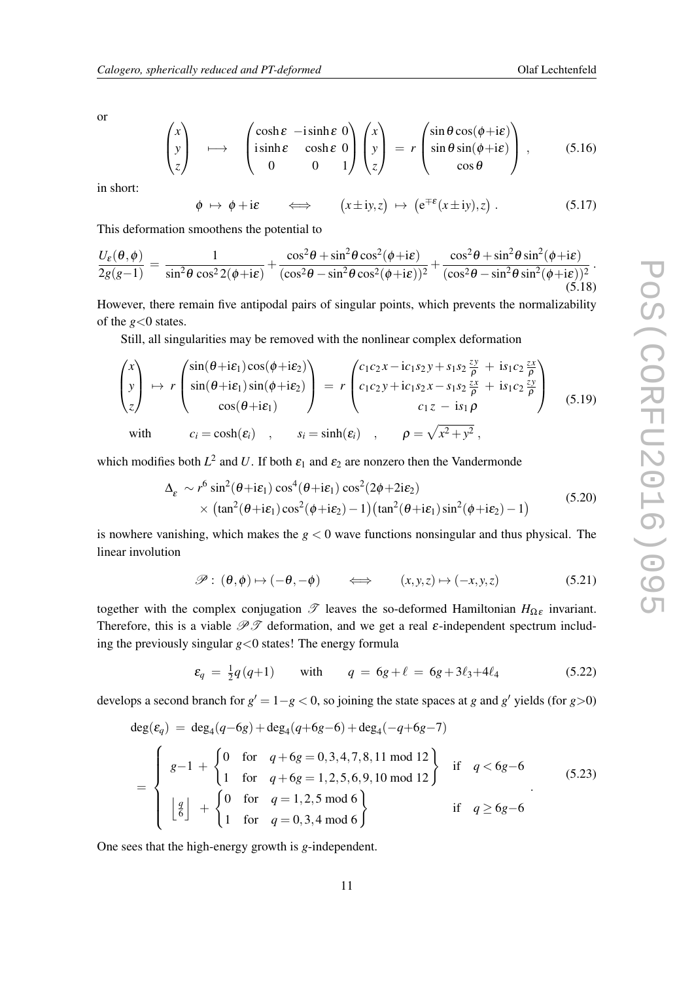<span id="page-11-0"></span>or

$$
\begin{pmatrix} x \\ y \\ z \end{pmatrix} \longrightarrow \begin{pmatrix} \cosh \varepsilon & -i \sinh \varepsilon & 0 \\ i \sinh \varepsilon & \cosh \varepsilon & 0 \\ 0 & 0 & 1 \end{pmatrix} \begin{pmatrix} x \\ y \\ z \end{pmatrix} = r \begin{pmatrix} \sin \theta \cos(\phi + i\varepsilon) \\ \sin \theta \sin(\phi + i\varepsilon) \\ \cos \theta \end{pmatrix}, \qquad (5.16)
$$

in short:

$$
\phi \mapsto \phi + i\varepsilon \qquad \Longleftrightarrow \qquad (x \pm iy, z) \mapsto (e^{\mp \varepsilon}(x \pm iy), z) . \tag{5.17}
$$

This deformation smoothens the potential to

$$
\frac{U_{\varepsilon}(\theta,\phi)}{2g(g-1)} = \frac{1}{\sin^2\theta\cos^2 2(\phi + i\varepsilon)} + \frac{\cos^2\theta + \sin^2\theta\cos^2(\phi + i\varepsilon)}{(\cos^2\theta - \sin^2\theta\cos^2(\phi + i\varepsilon))^2} + \frac{\cos^2\theta + \sin^2\theta\sin^2(\phi + i\varepsilon)}{(\cos^2\theta - \sin^2\theta\sin^2(\phi + i\varepsilon))^2}.
$$
\n(5.18)

However, there remain five antipodal pairs of singular points, which prevents the normalizability of the *g*<0 states.

Still, all singularities may be removed with the nonlinear complex deformation

$$
\begin{pmatrix} x \\ y \\ z \end{pmatrix} \mapsto r \begin{pmatrix} \sin(\theta + i\varepsilon_1)\cos(\phi + i\varepsilon_2) \\ \sin(\theta + i\varepsilon_1)\sin(\phi + i\varepsilon_2) \\ \cos(\theta + i\varepsilon_1) \end{pmatrix} = r \begin{pmatrix} c_1c_2x - ic_1s_2y + s_1s_2\frac{zy}{\rho} + is_1c_2\frac{zx}{\rho} \\ c_1c_2y + ic_1s_2x - s_1s_2\frac{zx}{\rho} + is_1c_2\frac{zy}{\rho} \\ c_1z - is_1\rho \end{pmatrix}
$$
(5.19)  
with  $c_i = \cosh(\varepsilon_i)$ ,  $s_i = \sinh(\varepsilon_i)$ ,  $\rho = \sqrt{x^2 + y^2}$ ,

which modifies both  $L^2$  and U. If both  $\varepsilon_1$  and  $\varepsilon_2$  are nonzero then the Vandermonde

$$
\Delta_{\varepsilon} \sim r^{6} \sin^{2}(\theta + i\varepsilon_{1}) \cos^{4}(\theta + i\varepsilon_{1}) \cos^{2}(2\phi + 2i\varepsilon_{2})
$$
\n
$$
\times (\tan^{2}(\theta + i\varepsilon_{1}) \cos^{2}(\phi + i\varepsilon_{2}) - 1) (\tan^{2}(\theta + i\varepsilon_{1}) \sin^{2}(\phi + i\varepsilon_{2}) - 1) \tag{5.20}
$$

is nowhere vanishing, which makes the  $g < 0$  wave functions nonsingular and thus physical. The linear involution

$$
\mathscr{P}: (\theta, \phi) \mapsto (-\theta, -\phi) \qquad \Longleftrightarrow \qquad (x, y, z) \mapsto (-x, y, z) \tag{5.21}
$$

together with the complex conjugation  $\mathscr T$  leaves the so-deformed Hamiltonian *H*<sub>Ωε</sub> invariant. Therefore, this is a viable  $\mathcal{P}\mathcal{T}$  deformation, and we get a real  $\varepsilon$ -independent spectrum including the previously singular *g*<0 states! The energy formula

$$
\varepsilon_q = \frac{1}{2}q(q+1) \quad \text{with} \quad q = 6g + \ell = 6g + 3\ell_3 + 4\ell_4 \tag{5.22}
$$

develops a second branch for  $g' = 1-g < 0$ , so joining the state spaces at *g* and  $g'$  yields (for  $g > 0$ )

$$
\deg(\varepsilon_q) = \deg_4(q - 6g) + \deg_4(q + 6g - 6) + \deg_4(-q + 6g - 7)
$$
\n
$$
= \begin{cases}\ng - 1 + \begin{cases}\n0 & \text{for } q + 6g = 0, 3, 4, 7, 8, 11 \text{ mod } 12 \\
1 & \text{for } q + 6g = 1, 2, 5, 6, 9, 10 \text{ mod } 12\n\end{cases} \text{ if } q < 6g - 6
$$
\n
$$
\boxed{\left\{\begin{array}{l}\ng\end{array}\right\}} + \begin{cases}\n0 & \text{for } q = 1, 2, 5 \text{ mod } 6 \\
1 & \text{for } q = 0, 3, 4 \text{ mod } 6\n\end{cases} \text{ if } q \ge 6g - 6
$$
\n(5.23)

One sees that the high-energy growth is *g*-independent.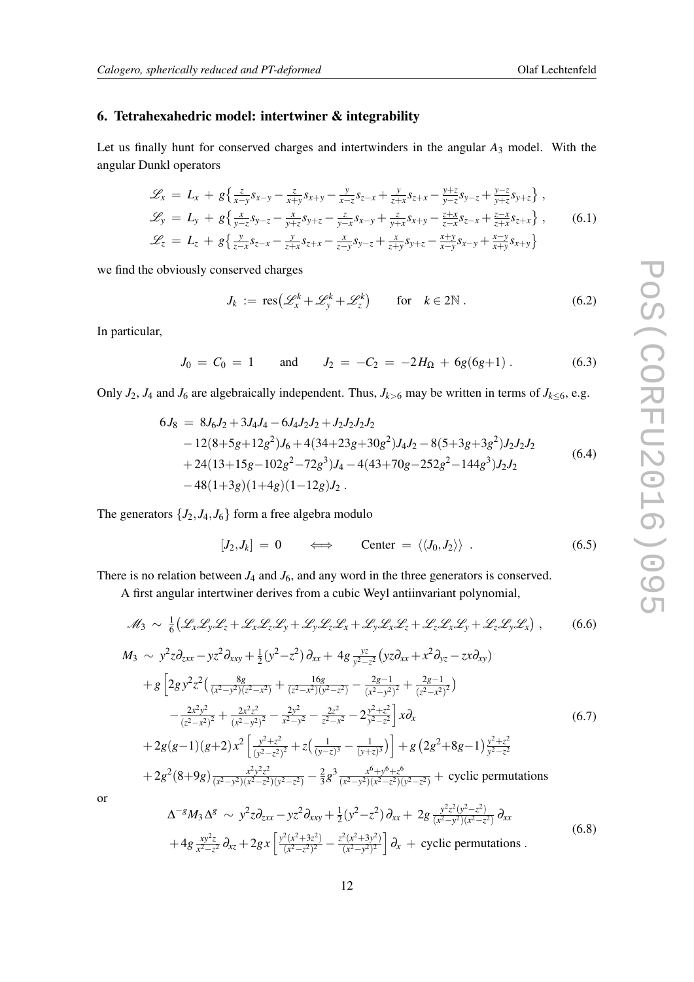#### 6. Tetrahexahedric model: intertwiner & integrability

Let us finally hunt for conserved charges and intertwinders in the angular *A*<sup>3</sup> model. With the angular Dunkl operators

$$
\mathcal{L}_{x} = L_{x} + g\left\{\frac{z}{x-y}s_{x-y} - \frac{z}{x+y}s_{x+y} - \frac{y}{x-z}s_{z-x} + \frac{y}{z+x}s_{z+x} - \frac{y+z}{y-z}s_{y-z} + \frac{y-z}{y+z}s_{y+z}\right\},
$$
  
\n
$$
\mathcal{L}_{y} = L_{y} + g\left\{\frac{x}{y-z}s_{y-z} - \frac{x}{y+z}s_{y+z} - \frac{z}{y-x}s_{x-y} + \frac{z}{y+x}s_{x+y} - \frac{z+x}{z-x}s_{z-x} + \frac{z-x}{z+x}s_{z+x}\right\},
$$
  
\n
$$
\mathcal{L}_{z} = L_{z} + g\left\{\frac{y}{z-x}s_{z-x} - \frac{y}{z+x}s_{z+x} - \frac{x}{z-y}s_{y-z} + \frac{x}{z+y}s_{y+z} - \frac{x+y}{x-y}s_{x-y} + \frac{x-y}{x+y}s_{x+y}\right\}
$$
  
\n(6.1)

we find the obviously conserved charges

$$
J_k := \text{res}\big(\mathcal{L}_x^k + \mathcal{L}_y^k + \mathcal{L}_z^k\big) \qquad \text{for} \quad k \in 2\mathbb{N} \,.
$$

In particular,

 $J_0 = C_0 = 1$  and  $J_2 = -C_2 = -2H_{\Omega} + 6g(6g+1)$  . (6.3)

Only  $J_2$ ,  $J_4$  and  $J_6$  are algebraically independent. Thus,  $J_{k>6}$  may be written in terms of  $J_{k\leq 6}$ , e.g.

$$
6J_8 = 8J_6J_2 + 3J_4J_4 - 6J_4J_2J_2 + J_2J_2J_2J_2
$$
  
\n
$$
-12(8+5g+12g^2)J_6 + 4(34+23g+30g^2)J_4J_2 - 8(5+3g+3g^2)J_2J_2J_2
$$
  
\n
$$
+24(13+15g-102g^2-72g^3)J_4 - 4(43+70g-252g^2-144g^3)J_2J_2
$$
  
\n
$$
-48(1+3g)(1+4g)(1-12g)J_2.
$$
\n(6.4)

The generators  $\{J_2, J_4, J_6\}$  form a free algebra modulo

$$
[J_2,J_k] = 0 \qquad \Longleftrightarrow \qquad \text{Center} = \langle \langle J_0,J_2 \rangle \rangle \ . \tag{6.5}
$$

There is no relation between  $J_4$  and  $J_6$ , and any word in the three generators is conserved.

A first angular intertwiner derives from a cubic Weyl antiinvariant polynomial,

$$
\mathcal{M}_3 \sim \frac{1}{6} \big( \mathcal{L}_x \mathcal{L}_y \mathcal{L}_z + \mathcal{L}_x \mathcal{L}_z \mathcal{L}_y + \mathcal{L}_y \mathcal{L}_z \mathcal{L}_x + \mathcal{L}_y \mathcal{L}_x \mathcal{L}_z + \mathcal{L}_z \mathcal{L}_x \mathcal{L}_y + \mathcal{L}_z \mathcal{L}_y \mathcal{L}_x \big), \qquad (6.6)
$$

$$
M_3 \sim y^2 z \partial_{zxx} - yz^2 \partial_{xxy} + \frac{1}{2} (y^2 - z^2) \partial_{xx} + 4g \frac{yz}{y^2 - z^2} (yz \partial_{xx} + x^2 \partial_{yz} - zx \partial_{xy})
$$
  
+  $g \left[ 2g y^2 z^2 \left( \frac{8g}{(x^2 - y^2)(z^2 - x^2)} + \frac{16g}{(z^2 - x^2)(y^2 - z^2)} - \frac{2g - 1}{(x^2 - y^2)^2} + \frac{2g - 1}{(z^2 - x^2)^2} \right) - \frac{2x^2 y^2}{(z^2 - x^2)^2} + \frac{2x^2 z^2}{(x^2 - y^2)^2} - \frac{2y^2}{x^2 - y^2} - \frac{2z^2}{z^2 - x^2} - 2 \frac{y^2 + z^2}{y^2 - z^2} \right] x \partial_x$   
+  $2g(g-1)(g+2) x^2 \left[ \frac{y^2 + z^2}{(y^2 - z^2)^2} + z \left( \frac{1}{(y - z)^3} - \frac{1}{(y + z)^3} \right) \right] + g \left( 2g^2 + 8g - 1 \right) \frac{y^2 + z^2}{y^2 - z^2}$   
+  $2g^2 (8 + 9g) \frac{x^2 y^2 z^2}{(x^2 - y^2)(x^2 - z^2)(y^2 - z^2)} - \frac{2}{3} g^3 \frac{x^6 + y^6 + z^6}{(x^2 - y^2)(x^2 - z^2)(y^2 - z^2)} + \text{ cyclic permutations}$ 

or

$$
\Delta^{-g} M_3 \Delta^g \sim y^2 z \partial_{zxx} - y z^2 \partial_{xxy} + \frac{1}{2} (y^2 - z^2) \partial_{xx} + 2g \frac{y^2 z^2 (y^2 - z^2)}{(x^2 - y^2)(x^2 - z^2)} \partial_{xx}
$$
  
+ 
$$
4g \frac{xy^2 z}{x^2 - z^2} \partial_{xz} + 2gx \left[ \frac{y^2 (x^2 + 3z^2)}{(x^2 - z^2)^2} - \frac{z^2 (x^2 + 3y^2)}{(x^2 - y^2)^2} \right] \partial_x + \text{cyclic permutations.}
$$
 (6.8)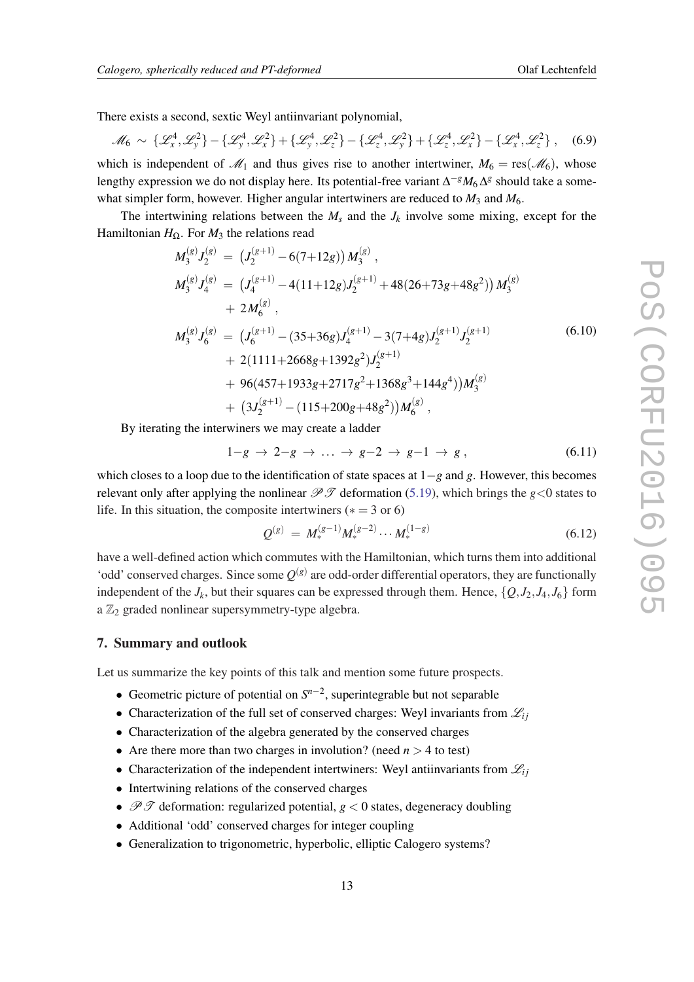There exists a second, sextic Weyl antiinvariant polynomial,

$$
\mathcal{M}_6 \sim \{ \mathcal{L}_x^4, \mathcal{L}_y^2 \} - \{ \mathcal{L}_y^4, \mathcal{L}_x^2 \} + \{ \mathcal{L}_y^4, \mathcal{L}_z^2 \} - \{ \mathcal{L}_z^4, \mathcal{L}_y^2 \} + \{ \mathcal{L}_z^4, \mathcal{L}_x^2 \} - \{ \mathcal{L}_x^4, \mathcal{L}_z^2 \}, \quad (6.9)
$$

which is independent of  $\mathcal{M}_1$  and thus gives rise to another intertwiner,  $M_6 = \text{res}(\mathcal{M}_6)$ , whose lengthy expression we do not display here. Its potential-free variant  $\Delta^{-g} M_6 \Delta^g$  should take a somewhat simpler form, however. Higher angular intertwiners are reduced to  $M_3$  and  $M_6$ .

The intertwining relations between the  $M_s$  and the  $J_k$  involve some mixing, except for the Hamiltonian  $H_{\Omega}$ . For  $M_3$  the relations read

$$
M_{3}^{(g)}J_{2}^{(g)} = (J_{2}^{(g+1)} - 6(7+12g))M_{3}^{(g)},
$$
  
\n
$$
M_{3}^{(g)}J_{4}^{(g)} = (J_{4}^{(g+1)} - 4(11+12g)J_{2}^{(g+1)} + 48(26+73g+48g^{2}))M_{3}^{(g)}
$$
  
\n
$$
+ 2M_{6}^{(g)},
$$
  
\n
$$
M_{3}^{(g)}J_{6}^{(g)} = (J_{6}^{(g+1)} - (35+36g)J_{4}^{(g+1)} - 3(7+4g)J_{2}^{(g+1)}J_{2}^{(g+1)}
$$
  
\n
$$
+ 2(1111+2668g+1392g^{2})J_{2}^{(g+1)}
$$
  
\n
$$
+ 96(457+1933g+2717g^{2}+1368g^{3}+144g^{4}))M_{3}^{(g)}
$$
  
\n
$$
+ (3J_{2}^{(g+1)} - (115+200g+48g^{2}))M_{6}^{(g)},
$$

By iterating the interwiners we may create a ladder

$$
1-g \to 2-g \to \dots \to g-2 \to g-1 \to g \,, \tag{6.11}
$$

which closes to a loop due to the identification of state spaces at 1−*g* and *g*. However, this becomes relevant only after applying the nonlinear  $\mathcal{P} \mathcal{T}$  deformation [\(5.19](#page-11-0)), which brings the *g*<0 states to life. In this situation, the composite intertwiners ( $* = 3$  or 6)

$$
Q^{(g)} = M_*^{(g-1)} M_*^{(g-2)} \cdots M_*^{(1-g)}
$$
(6.12)

have a well-defined action which commutes with the Hamiltonian, which turns them into additional 'odd' conserved charges. Since some  $Q^{(g)}$  are odd-order differential operators, they are functionally independent of the  $J_k$ , but their squares can be expressed through them. Hence,  $\{Q, J_2, J_4, J_6\}$  form a  $\mathbb{Z}_2$  graded nonlinear supersymmetry-type algebra.

#### 7. Summary and outlook

Let us summarize the key points of this talk and mention some future prospects.

- Geometric picture of potential on *S n*−2 , superintegrable but not separable
- Characterization of the full set of conserved charges: Weyl invariants from  $\mathcal{L}_{ij}$
- Characterization of the algebra generated by the conserved charges
- Are there more than two charges in involution? (need  $n > 4$  to test)
- Characterization of the independent intertwiners: Weyl antiinvariants from  $\mathcal{L}_{ij}$
- Intertwining relations of the conserved charges
- $\mathscr{P} \mathscr{T}$  deformation: regularized potential,  $g < 0$  states, degeneracy doubling
- Additional 'odd' conserved charges for integer coupling
- Generalization to trigonometric, hyperbolic, elliptic Calogero systems?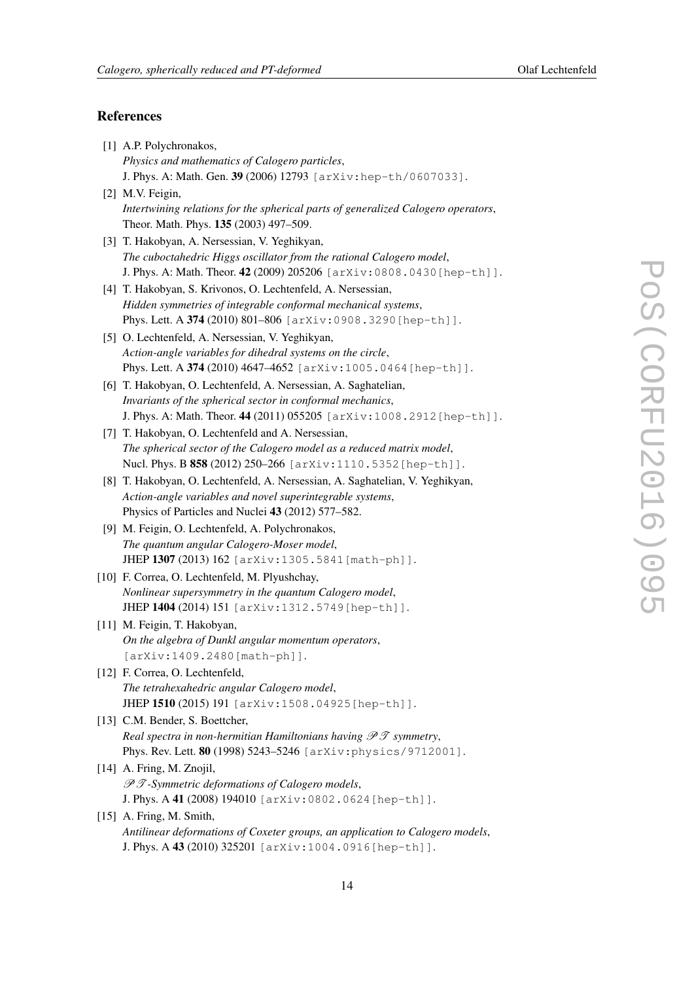## <span id="page-14-0"></span>References

| [1] A.P. Polychronakos,                                                              |
|--------------------------------------------------------------------------------------|
| Physics and mathematics of Calogero particles,                                       |
| J. Phys. A: Math. Gen. 39 (2006) 12793 [arXiv: hep-th/0607033].                      |
| [2] M.V. Feigin,                                                                     |
| Intertwining relations for the spherical parts of generalized Calogero operators,    |
| Theor. Math. Phys. 135 (2003) 497-509.                                               |
| [3] T. Hakobyan, A. Nersessian, V. Yeghikyan,                                        |
| The cuboctahedric Higgs oscillator from the rational Calogero model,                 |
| J. Phys. A: Math. Theor. 42 (2009) 205206 [arXiv: 0808.0430 [hep-th]].               |
| [4] T. Hakobyan, S. Krivonos, O. Lechtenfeld, A. Nersessian,                         |
| Hidden symmetries of integrable conformal mechanical systems,                        |
| Phys. Lett. A 374 (2010) 801-806 [arXiv: 0908.3290 [hep-th] ].                       |
| [5] O. Lechtenfeld, A. Nersessian, V. Yeghikyan,                                     |
| Action-angle variables for dihedral systems on the circle,                           |
| Phys. Lett. A 374 (2010) 4647-4652 [arXiv:1005.0464 [hep-th]].                       |
| [6] T. Hakobyan, O. Lechtenfeld, A. Nersessian, A. Saghatelian,                      |
| Invariants of the spherical sector in conformal mechanics,                           |
| J. Phys. A: Math. Theor. 44 (2011) 055205 [arXiv:1008.2912 [hep-th]].                |
| [7] T. Hakobyan, O. Lechtenfeld and A. Nersessian,                                   |
| The spherical sector of the Calogero model as a reduced matrix model,                |
| Nucl. Phys. B 858 (2012) 250-266 [arXiv:1110.5352 [hep-th]].                         |
| [8] T. Hakobyan, O. Lechtenfeld, A. Nersessian, A. Saghatelian, V. Yeghikyan,        |
| Action-angle variables and novel superintegrable systems,                            |
| Physics of Particles and Nuclei 43 (2012) 577–582.                                   |
| [9] M. Feigin, O. Lechtenfeld, A. Polychronakos,                                     |
| The quantum angular Calogero-Moser model,                                            |
| JHEP 1307 (2013) 162 [arXiv:1305.5841 [math-ph]].                                    |
| [10] F. Correa, O. Lechtenfeld, M. Plyushchay,                                       |
| Nonlinear supersymmetry in the quantum Calogero model,                               |
| JHEP 1404 (2014) 151 [arXiv:1312.5749 [hep-th]].                                     |
| [11] M. Feigin, T. Hakobyan,                                                         |
| On the algebra of Dunkl angular momentum operators,                                  |
| [arXiv:1409.2480[math-ph]].                                                          |
| [12] F. Correa, O. Lechtenfeld,                                                      |
| The tetrahexahedric angular Calogero model,                                          |
| JHEP 1510 (2015) 191 [arXiv:1508.04925 [hep-th]].                                    |
| [13] C.M. Bender, S. Boettcher,                                                      |
| Real spectra in non-hermitian Hamiltonians having $\mathscr{P}\mathscr{T}$ symmetry, |
| Phys. Rev. Lett. 80 (1998) 5243-5246 [arXiv: physics/9712001].                       |
| [14] A. Fring, M. Znojil,                                                            |
| $\mathscr{P} \mathscr{T}$ -Symmetric deformations of Calogero models,                |
| J. Phys. A 41 (2008) 194010 [arXiv: 0802.0624 [hep-th]].                             |
| [15] A. Fring, M. Smith,                                                             |
| Antilinear deformations of Coxeter groups, an application to Calogero models,        |
| J. Phys. A 43 (2010) 325201 [arXiv:1004.0916 [hep-th] ].                             |
|                                                                                      |